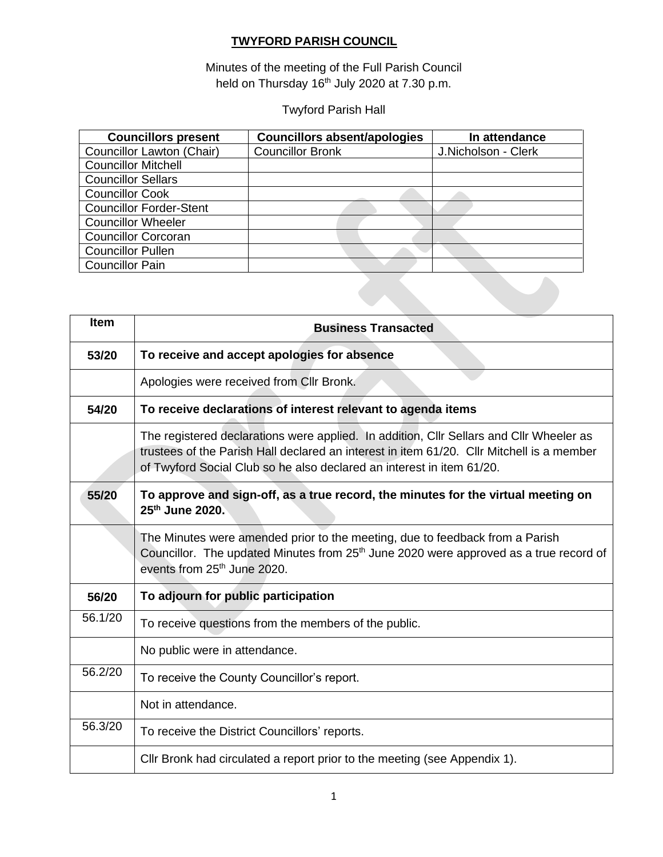#### **TWYFORD PARISH COUNCIL**

Minutes of the meeting of the Full Parish Council held on Thursday 16<sup>th</sup> July 2020 at 7.30 p.m.

### Twyford Parish Hall

| <b>Councillors present</b>     | <b>Councillors absent/apologies</b> | In attendance       |  |  |
|--------------------------------|-------------------------------------|---------------------|--|--|
| Councillor Lawton (Chair)      | <b>Councillor Bronk</b>             | J.Nicholson - Clerk |  |  |
| <b>Councillor Mitchell</b>     |                                     |                     |  |  |
| <b>Councillor Sellars</b>      |                                     |                     |  |  |
| <b>Councillor Cook</b>         |                                     |                     |  |  |
| <b>Councillor Forder-Stent</b> |                                     |                     |  |  |
| <b>Councillor Wheeler</b>      |                                     |                     |  |  |
| <b>Councillor Corcoran</b>     |                                     |                     |  |  |
| <b>Councillor Pullen</b>       |                                     |                     |  |  |
| <b>Councillor Pain</b>         |                                     |                     |  |  |
|                                |                                     |                     |  |  |

| Item    | <b>Business Transacted</b>                                                                                                                                                                                                                                    |  |  |  |  |  |  |
|---------|---------------------------------------------------------------------------------------------------------------------------------------------------------------------------------------------------------------------------------------------------------------|--|--|--|--|--|--|
| 53/20   | To receive and accept apologies for absence                                                                                                                                                                                                                   |  |  |  |  |  |  |
|         | Apologies were received from Cllr Bronk.                                                                                                                                                                                                                      |  |  |  |  |  |  |
| 54/20   | To receive declarations of interest relevant to agenda items                                                                                                                                                                                                  |  |  |  |  |  |  |
|         | The registered declarations were applied. In addition, Cllr Sellars and Cllr Wheeler as<br>trustees of the Parish Hall declared an interest in item 61/20. Cllr Mitchell is a member<br>of Twyford Social Club so he also declared an interest in item 61/20. |  |  |  |  |  |  |
| 55/20   | To approve and sign-off, as a true record, the minutes for the virtual meeting on<br>25th June 2020.                                                                                                                                                          |  |  |  |  |  |  |
|         | The Minutes were amended prior to the meeting, due to feedback from a Parish<br>Councillor. The updated Minutes from 25 <sup>th</sup> June 2020 were approved as a true record of<br>events from 25 <sup>th</sup> June 2020.                                  |  |  |  |  |  |  |
| 56/20   | To adjourn for public participation                                                                                                                                                                                                                           |  |  |  |  |  |  |
| 56.1/20 | To receive questions from the members of the public.                                                                                                                                                                                                          |  |  |  |  |  |  |
|         | No public were in attendance.                                                                                                                                                                                                                                 |  |  |  |  |  |  |
| 56.2/20 | To receive the County Councillor's report.                                                                                                                                                                                                                    |  |  |  |  |  |  |
|         | Not in attendance.                                                                                                                                                                                                                                            |  |  |  |  |  |  |
| 56.3/20 | To receive the District Councillors' reports.                                                                                                                                                                                                                 |  |  |  |  |  |  |
|         | Cllr Bronk had circulated a report prior to the meeting (see Appendix 1).                                                                                                                                                                                     |  |  |  |  |  |  |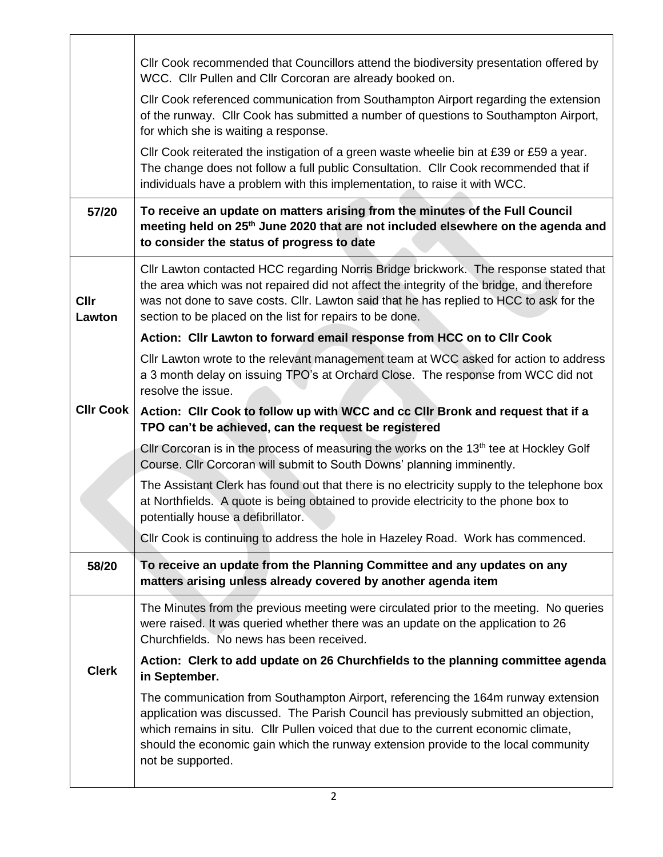|                       | CIIr Cook recommended that Councillors attend the biodiversity presentation offered by                                                                                                                                                                                                                                                                                      |
|-----------------------|-----------------------------------------------------------------------------------------------------------------------------------------------------------------------------------------------------------------------------------------------------------------------------------------------------------------------------------------------------------------------------|
|                       | WCC. Cllr Pullen and Cllr Corcoran are already booked on.<br>Cllr Cook referenced communication from Southampton Airport regarding the extension                                                                                                                                                                                                                            |
|                       | of the runway. Cllr Cook has submitted a number of questions to Southampton Airport,<br>for which she is waiting a response.                                                                                                                                                                                                                                                |
|                       | CIIr Cook reiterated the instigation of a green waste wheelie bin at £39 or £59 a year.<br>The change does not follow a full public Consultation. Cllr Cook recommended that if<br>individuals have a problem with this implementation, to raise it with WCC.                                                                                                               |
| 57/20                 | To receive an update on matters arising from the minutes of the Full Council<br>meeting held on 25 <sup>th</sup> June 2020 that are not included elsewhere on the agenda and<br>to consider the status of progress to date                                                                                                                                                  |
| <b>Cllr</b><br>Lawton | Cllr Lawton contacted HCC regarding Norris Bridge brickwork. The response stated that<br>the area which was not repaired did not affect the integrity of the bridge, and therefore<br>was not done to save costs. Cllr. Lawton said that he has replied to HCC to ask for the<br>section to be placed on the list for repairs to be done.                                   |
|                       | Action: Cllr Lawton to forward email response from HCC on to Cllr Cook                                                                                                                                                                                                                                                                                                      |
|                       | Cllr Lawton wrote to the relevant management team at WCC asked for action to address<br>a 3 month delay on issuing TPO's at Orchard Close. The response from WCC did not<br>resolve the issue.                                                                                                                                                                              |
| <b>CIIr Cook</b>      | Action: Cllr Cook to follow up with WCC and cc Cllr Bronk and request that if a<br>TPO can't be achieved, can the request be registered                                                                                                                                                                                                                                     |
|                       | CIIr Corcoran is in the process of measuring the works on the 13 <sup>th</sup> tee at Hockley Golf<br>Course. Cllr Corcoran will submit to South Downs' planning imminently.                                                                                                                                                                                                |
|                       | The Assistant Clerk has found out that there is no electricity supply to the telephone box<br>at Northfields. A quote is being obtained to provide electricity to the phone box to<br>potentially house a defibrillator.                                                                                                                                                    |
|                       | Cllr Cook is continuing to address the hole in Hazeley Road. Work has commenced.                                                                                                                                                                                                                                                                                            |
| 58/20                 | To receive an update from the Planning Committee and any updates on any<br>matters arising unless already covered by another agenda item                                                                                                                                                                                                                                    |
|                       | The Minutes from the previous meeting were circulated prior to the meeting. No queries<br>were raised. It was queried whether there was an update on the application to 26<br>Churchfields. No news has been received.                                                                                                                                                      |
| <b>Clerk</b>          | Action: Clerk to add update on 26 Churchfields to the planning committee agenda<br>in September.                                                                                                                                                                                                                                                                            |
|                       | The communication from Southampton Airport, referencing the 164m runway extension<br>application was discussed. The Parish Council has previously submitted an objection,<br>which remains in situ. Cllr Pullen voiced that due to the current economic climate,<br>should the economic gain which the runway extension provide to the local community<br>not be supported. |

Π

 $\perp$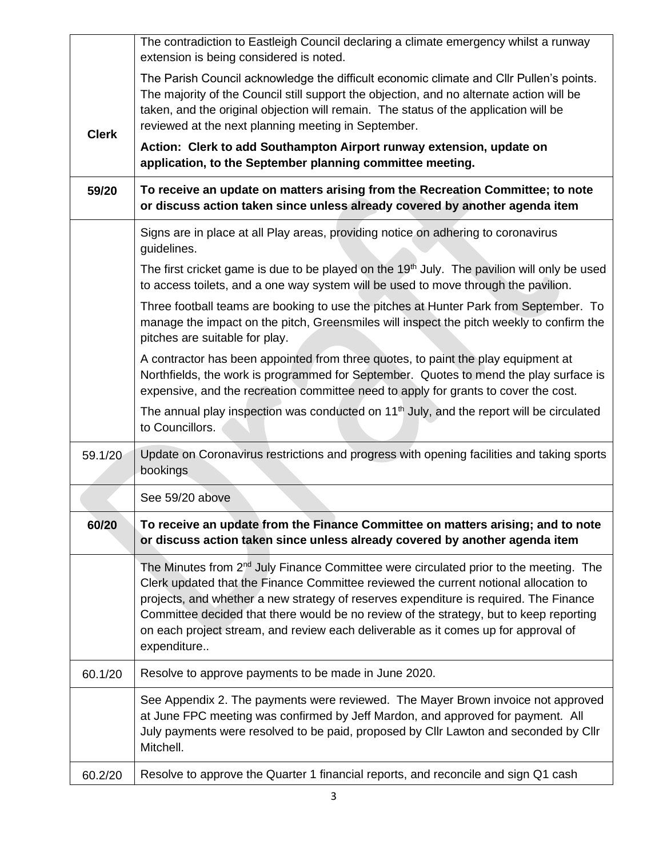|              | The contradiction to Eastleigh Council declaring a climate emergency whilst a runway<br>extension is being considered is noted.                                                                                                                                                                                                                                                                                                                                                   |  |  |  |  |  |  |
|--------------|-----------------------------------------------------------------------------------------------------------------------------------------------------------------------------------------------------------------------------------------------------------------------------------------------------------------------------------------------------------------------------------------------------------------------------------------------------------------------------------|--|--|--|--|--|--|
| <b>Clerk</b> | The Parish Council acknowledge the difficult economic climate and Cllr Pullen's points.<br>The majority of the Council still support the objection, and no alternate action will be<br>taken, and the original objection will remain. The status of the application will be<br>reviewed at the next planning meeting in September.                                                                                                                                                |  |  |  |  |  |  |
|              | Action: Clerk to add Southampton Airport runway extension, update on<br>application, to the September planning committee meeting.                                                                                                                                                                                                                                                                                                                                                 |  |  |  |  |  |  |
| 59/20        | To receive an update on matters arising from the Recreation Committee; to note<br>or discuss action taken since unless already covered by another agenda item                                                                                                                                                                                                                                                                                                                     |  |  |  |  |  |  |
|              | Signs are in place at all Play areas, providing notice on adhering to coronavirus<br>guidelines.                                                                                                                                                                                                                                                                                                                                                                                  |  |  |  |  |  |  |
|              | The first cricket game is due to be played on the 19 <sup>th</sup> July. The pavilion will only be used<br>to access toilets, and a one way system will be used to move through the pavilion.                                                                                                                                                                                                                                                                                     |  |  |  |  |  |  |
|              | Three football teams are booking to use the pitches at Hunter Park from September. To<br>manage the impact on the pitch, Greensmiles will inspect the pitch weekly to confirm the<br>pitches are suitable for play.                                                                                                                                                                                                                                                               |  |  |  |  |  |  |
|              | A contractor has been appointed from three quotes, to paint the play equipment at<br>Northfields, the work is programmed for September. Quotes to mend the play surface is<br>expensive, and the recreation committee need to apply for grants to cover the cost.                                                                                                                                                                                                                 |  |  |  |  |  |  |
|              | The annual play inspection was conducted on 11 <sup>th</sup> July, and the report will be circulated<br>to Councillors.                                                                                                                                                                                                                                                                                                                                                           |  |  |  |  |  |  |
| 59.1/20      | Update on Coronavirus restrictions and progress with opening facilities and taking sports<br>bookings                                                                                                                                                                                                                                                                                                                                                                             |  |  |  |  |  |  |
|              | See 59/20 above                                                                                                                                                                                                                                                                                                                                                                                                                                                                   |  |  |  |  |  |  |
| 60/20        | To receive an update from the Finance Committee on matters arising; and to note<br>or discuss action taken since unless already covered by another agenda item                                                                                                                                                                                                                                                                                                                    |  |  |  |  |  |  |
|              | The Minutes from 2 <sup>nd</sup> July Finance Committee were circulated prior to the meeting. The<br>Clerk updated that the Finance Committee reviewed the current notional allocation to<br>projects, and whether a new strategy of reserves expenditure is required. The Finance<br>Committee decided that there would be no review of the strategy, but to keep reporting<br>on each project stream, and review each deliverable as it comes up for approval of<br>expenditure |  |  |  |  |  |  |
| 60.1/20      | Resolve to approve payments to be made in June 2020.                                                                                                                                                                                                                                                                                                                                                                                                                              |  |  |  |  |  |  |
|              | See Appendix 2. The payments were reviewed. The Mayer Brown invoice not approved<br>at June FPC meeting was confirmed by Jeff Mardon, and approved for payment. All<br>July payments were resolved to be paid, proposed by Cllr Lawton and seconded by Cllr<br>Mitchell.                                                                                                                                                                                                          |  |  |  |  |  |  |
| 60.2/20      | Resolve to approve the Quarter 1 financial reports, and reconcile and sign Q1 cash                                                                                                                                                                                                                                                                                                                                                                                                |  |  |  |  |  |  |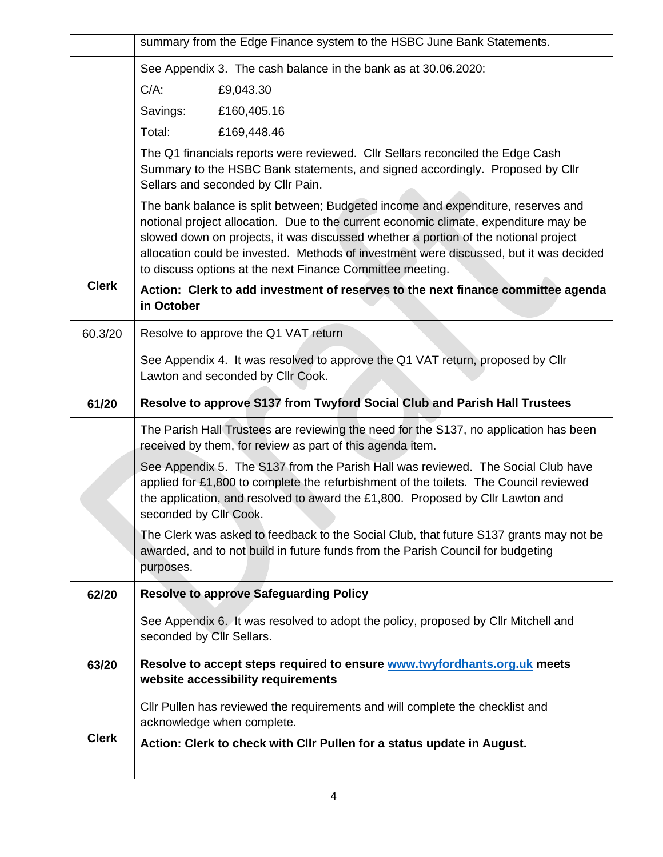|              | summary from the Edge Finance system to the HSBC June Bank Statements.                                                                                                                                                                                                                                                                                                                                                 |  |  |  |  |  |  |  |  |
|--------------|------------------------------------------------------------------------------------------------------------------------------------------------------------------------------------------------------------------------------------------------------------------------------------------------------------------------------------------------------------------------------------------------------------------------|--|--|--|--|--|--|--|--|
|              | See Appendix 3. The cash balance in the bank as at 30.06.2020:                                                                                                                                                                                                                                                                                                                                                         |  |  |  |  |  |  |  |  |
|              | $C/A$ :<br>£9,043.30                                                                                                                                                                                                                                                                                                                                                                                                   |  |  |  |  |  |  |  |  |
|              | Savings:<br>£160,405.16                                                                                                                                                                                                                                                                                                                                                                                                |  |  |  |  |  |  |  |  |
|              | Total:<br>£169,448.46                                                                                                                                                                                                                                                                                                                                                                                                  |  |  |  |  |  |  |  |  |
|              | The Q1 financials reports were reviewed. Cllr Sellars reconciled the Edge Cash<br>Summary to the HSBC Bank statements, and signed accordingly. Proposed by Cllr<br>Sellars and seconded by Cllr Pain.                                                                                                                                                                                                                  |  |  |  |  |  |  |  |  |
|              | The bank balance is split between; Budgeted income and expenditure, reserves and<br>notional project allocation. Due to the current economic climate, expenditure may be<br>slowed down on projects, it was discussed whether a portion of the notional project<br>allocation could be invested. Methods of investment were discussed, but it was decided<br>to discuss options at the next Finance Committee meeting. |  |  |  |  |  |  |  |  |
| <b>Clerk</b> | Action: Clerk to add investment of reserves to the next finance committee agenda<br>in October                                                                                                                                                                                                                                                                                                                         |  |  |  |  |  |  |  |  |
| 60.3/20      | Resolve to approve the Q1 VAT return                                                                                                                                                                                                                                                                                                                                                                                   |  |  |  |  |  |  |  |  |
|              | See Appendix 4. It was resolved to approve the Q1 VAT return, proposed by Cllr<br>Lawton and seconded by Cllr Cook.                                                                                                                                                                                                                                                                                                    |  |  |  |  |  |  |  |  |
| 61/20        | Resolve to approve S137 from Twyford Social Club and Parish Hall Trustees                                                                                                                                                                                                                                                                                                                                              |  |  |  |  |  |  |  |  |
|              | The Parish Hall Trustees are reviewing the need for the S137, no application has been<br>received by them, for review as part of this agenda item.                                                                                                                                                                                                                                                                     |  |  |  |  |  |  |  |  |
|              | See Appendix 5. The S137 from the Parish Hall was reviewed. The Social Club have<br>applied for £1,800 to complete the refurbishment of the toilets. The Council reviewed<br>the application, and resolved to award the £1,800. Proposed by Cllr Lawton and<br>seconded by Cllr Cook.                                                                                                                                  |  |  |  |  |  |  |  |  |
|              | The Clerk was asked to feedback to the Social Club, that future S137 grants may not be<br>awarded, and to not build in future funds from the Parish Council for budgeting<br>purposes.                                                                                                                                                                                                                                 |  |  |  |  |  |  |  |  |
| 62/20        | <b>Resolve to approve Safeguarding Policy</b>                                                                                                                                                                                                                                                                                                                                                                          |  |  |  |  |  |  |  |  |
|              | See Appendix 6. It was resolved to adopt the policy, proposed by Cllr Mitchell and<br>seconded by Cllr Sellars.                                                                                                                                                                                                                                                                                                        |  |  |  |  |  |  |  |  |
| 63/20        | Resolve to accept steps required to ensure <b>www.twyfordhants.org.uk</b> meets<br>website accessibility requirements                                                                                                                                                                                                                                                                                                  |  |  |  |  |  |  |  |  |
|              | CIIr Pullen has reviewed the requirements and will complete the checklist and<br>acknowledge when complete.                                                                                                                                                                                                                                                                                                            |  |  |  |  |  |  |  |  |
| <b>Clerk</b> | Action: Clerk to check with Cllr Pullen for a status update in August.                                                                                                                                                                                                                                                                                                                                                 |  |  |  |  |  |  |  |  |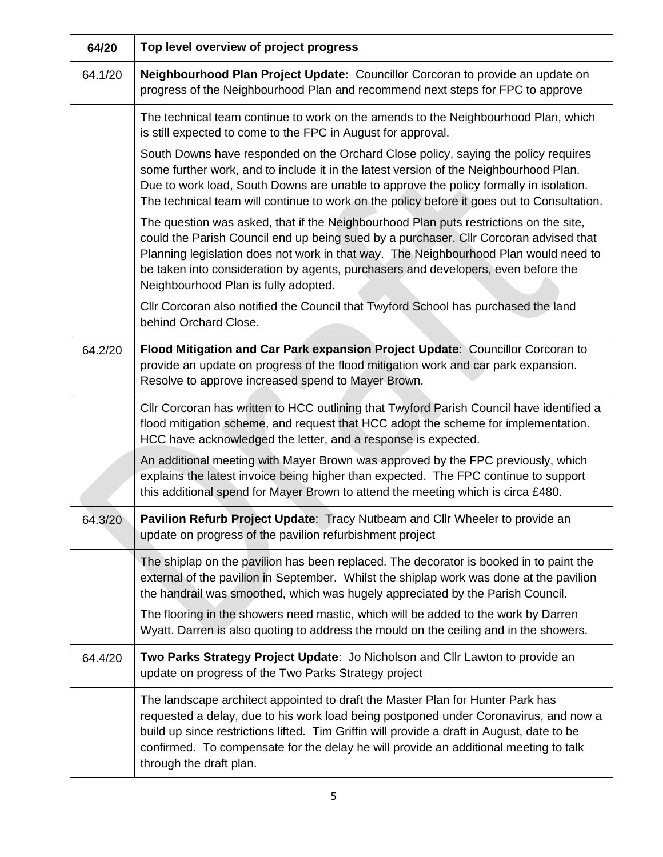| 64/20   | Top level overview of project progress                                                                                                                                                                                                                                                                                                                                                              |
|---------|-----------------------------------------------------------------------------------------------------------------------------------------------------------------------------------------------------------------------------------------------------------------------------------------------------------------------------------------------------------------------------------------------------|
| 64.1/20 | Neighbourhood Plan Project Update: Councillor Corcoran to provide an update on<br>progress of the Neighbourhood Plan and recommend next steps for FPC to approve                                                                                                                                                                                                                                    |
|         | The technical team continue to work on the amends to the Neighbourhood Plan, which<br>is still expected to come to the FPC in August for approval.                                                                                                                                                                                                                                                  |
|         | South Downs have responded on the Orchard Close policy, saying the policy requires<br>some further work, and to include it in the latest version of the Neighbourhood Plan.<br>Due to work load, South Downs are unable to approve the policy formally in isolation.<br>The technical team will continue to work on the policy before it goes out to Consultation.                                  |
|         | The question was asked, that if the Neighbourhood Plan puts restrictions on the site,<br>could the Parish Council end up being sued by a purchaser. Cllr Corcoran advised that<br>Planning legislation does not work in that way. The Neighbourhood Plan would need to<br>be taken into consideration by agents, purchasers and developers, even before the<br>Neighbourhood Plan is fully adopted. |
|         | Cllr Corcoran also notified the Council that Twyford School has purchased the land<br>behind Orchard Close.                                                                                                                                                                                                                                                                                         |
| 64.2/20 | Flood Mitigation and Car Park expansion Project Update: Councillor Corcoran to<br>provide an update on progress of the flood mitigation work and car park expansion.<br>Resolve to approve increased spend to Mayer Brown.                                                                                                                                                                          |
|         | Cllr Corcoran has written to HCC outlining that Twyford Parish Council have identified a<br>flood mitigation scheme, and request that HCC adopt the scheme for implementation.<br>HCC have acknowledged the letter, and a response is expected.                                                                                                                                                     |
|         | An additional meeting with Mayer Brown was approved by the FPC previously, which<br>explains the latest invoice being higher than expected. The FPC continue to support<br>this additional spend for Mayer Brown to attend the meeting which is circa £480.                                                                                                                                         |
| 64.3/20 | Pavilion Refurb Project Update: Tracy Nutbeam and Cllr Wheeler to provide an<br>update on progress of the pavilion refurbishment project                                                                                                                                                                                                                                                            |
|         | The shiplap on the pavilion has been replaced. The decorator is booked in to paint the<br>external of the pavilion in September. Whilst the shiplap work was done at the pavilion<br>the handrail was smoothed, which was hugely appreciated by the Parish Council.                                                                                                                                 |
|         | The flooring in the showers need mastic, which will be added to the work by Darren<br>Wyatt. Darren is also quoting to address the mould on the ceiling and in the showers.                                                                                                                                                                                                                         |
| 64.4/20 | Two Parks Strategy Project Update: Jo Nicholson and Cllr Lawton to provide an<br>update on progress of the Two Parks Strategy project                                                                                                                                                                                                                                                               |
|         | The landscape architect appointed to draft the Master Plan for Hunter Park has<br>requested a delay, due to his work load being postponed under Coronavirus, and now a<br>build up since restrictions lifted. Tim Griffin will provide a draft in August, date to be<br>confirmed. To compensate for the delay he will provide an additional meeting to talk<br>through the draft plan.             |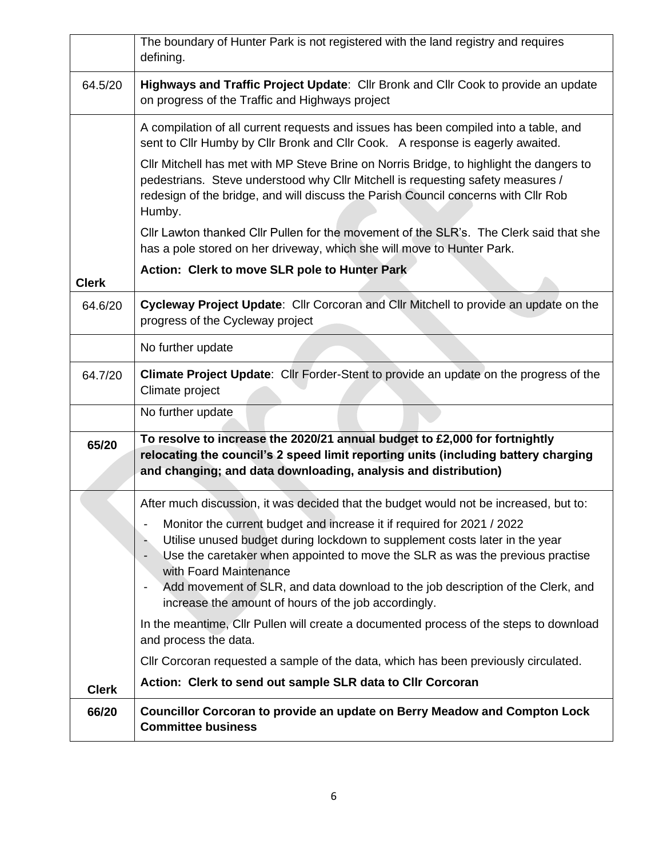|              | The boundary of Hunter Park is not registered with the land registry and requires<br>defining.                                                                                                                                                                                                                                                                                  |  |  |  |  |  |  |
|--------------|---------------------------------------------------------------------------------------------------------------------------------------------------------------------------------------------------------------------------------------------------------------------------------------------------------------------------------------------------------------------------------|--|--|--|--|--|--|
| 64.5/20      | Highways and Traffic Project Update: Cllr Bronk and Cllr Cook to provide an update<br>on progress of the Traffic and Highways project                                                                                                                                                                                                                                           |  |  |  |  |  |  |
|              | A compilation of all current requests and issues has been compiled into a table, and<br>sent to Cllr Humby by Cllr Bronk and Cllr Cook. A response is eagerly awaited.                                                                                                                                                                                                          |  |  |  |  |  |  |
|              | Cllr Mitchell has met with MP Steve Brine on Norris Bridge, to highlight the dangers to<br>pedestrians. Steve understood why Cllr Mitchell is requesting safety measures /<br>redesign of the bridge, and will discuss the Parish Council concerns with Cllr Rob<br>Humby.                                                                                                      |  |  |  |  |  |  |
|              | Cllr Lawton thanked Cllr Pullen for the movement of the SLR's. The Clerk said that she<br>has a pole stored on her driveway, which she will move to Hunter Park.                                                                                                                                                                                                                |  |  |  |  |  |  |
| <b>Clerk</b> | Action: Clerk to move SLR pole to Hunter Park                                                                                                                                                                                                                                                                                                                                   |  |  |  |  |  |  |
|              |                                                                                                                                                                                                                                                                                                                                                                                 |  |  |  |  |  |  |
| 64.6/20      | Cycleway Project Update: Cllr Corcoran and Cllr Mitchell to provide an update on the<br>progress of the Cycleway project                                                                                                                                                                                                                                                        |  |  |  |  |  |  |
|              | No further update                                                                                                                                                                                                                                                                                                                                                               |  |  |  |  |  |  |
| 64.7/20      | Climate Project Update: Cllr Forder-Stent to provide an update on the progress of the<br>Climate project                                                                                                                                                                                                                                                                        |  |  |  |  |  |  |
|              | No further update                                                                                                                                                                                                                                                                                                                                                               |  |  |  |  |  |  |
| 65/20        | To resolve to increase the 2020/21 annual budget to £2,000 for fortnightly<br>relocating the council's 2 speed limit reporting units (including battery charging<br>and changing; and data downloading, analysis and distribution)                                                                                                                                              |  |  |  |  |  |  |
|              | After much discussion, it was decided that the budget would not be increased, but to:                                                                                                                                                                                                                                                                                           |  |  |  |  |  |  |
|              | Monitor the current budget and increase it if required for 2021 / 2022<br>Utilise unused budget during lockdown to supplement costs later in the year<br>Use the caretaker when appointed to move the SLR as was the previous practise<br>with Foard Maintenance<br>Add movement of SLR, and data download to the job description of the Clerk, and<br>$\overline{\phantom{a}}$ |  |  |  |  |  |  |
|              | increase the amount of hours of the job accordingly.                                                                                                                                                                                                                                                                                                                            |  |  |  |  |  |  |
|              | In the meantime, Cllr Pullen will create a documented process of the steps to download<br>and process the data.                                                                                                                                                                                                                                                                 |  |  |  |  |  |  |
|              | CIIr Corcoran requested a sample of the data, which has been previously circulated.                                                                                                                                                                                                                                                                                             |  |  |  |  |  |  |
| <b>Clerk</b> | Action: Clerk to send out sample SLR data to Cllr Corcoran                                                                                                                                                                                                                                                                                                                      |  |  |  |  |  |  |
| 66/20        | Councillor Corcoran to provide an update on Berry Meadow and Compton Lock<br><b>Committee business</b>                                                                                                                                                                                                                                                                          |  |  |  |  |  |  |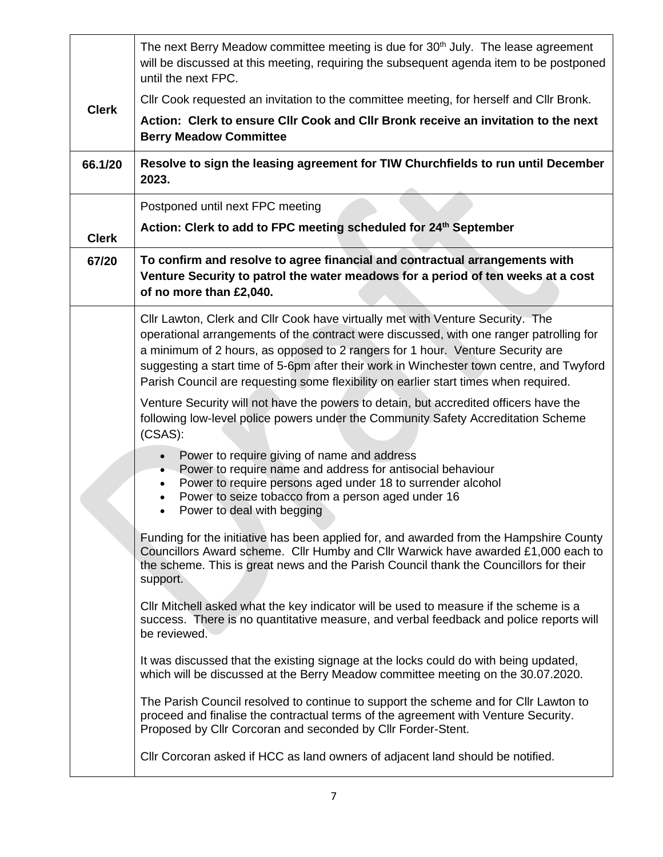|              | The next Berry Meadow committee meeting is due for 30 <sup>th</sup> July. The lease agreement<br>will be discussed at this meeting, requiring the subsequent agenda item to be postponed<br>until the next FPC.                                                                                                                                                                                                                                 |  |  |  |  |  |  |
|--------------|-------------------------------------------------------------------------------------------------------------------------------------------------------------------------------------------------------------------------------------------------------------------------------------------------------------------------------------------------------------------------------------------------------------------------------------------------|--|--|--|--|--|--|
| <b>Clerk</b> | CIIr Cook requested an invitation to the committee meeting, for herself and CIIr Bronk.                                                                                                                                                                                                                                                                                                                                                         |  |  |  |  |  |  |
|              | Action: Clerk to ensure CIIr Cook and CIIr Bronk receive an invitation to the next<br><b>Berry Meadow Committee</b>                                                                                                                                                                                                                                                                                                                             |  |  |  |  |  |  |
| 66.1/20      | Resolve to sign the leasing agreement for TIW Churchfields to run until December<br>2023.                                                                                                                                                                                                                                                                                                                                                       |  |  |  |  |  |  |
|              | Postponed until next FPC meeting                                                                                                                                                                                                                                                                                                                                                                                                                |  |  |  |  |  |  |
| <b>Clerk</b> | Action: Clerk to add to FPC meeting scheduled for 24th September                                                                                                                                                                                                                                                                                                                                                                                |  |  |  |  |  |  |
| 67/20        | To confirm and resolve to agree financial and contractual arrangements with<br>Venture Security to patrol the water meadows for a period of ten weeks at a cost<br>of no more than £2,040.                                                                                                                                                                                                                                                      |  |  |  |  |  |  |
|              | Cllr Lawton, Clerk and Cllr Cook have virtually met with Venture Security. The<br>operational arrangements of the contract were discussed, with one ranger patrolling for<br>a minimum of 2 hours, as opposed to 2 rangers for 1 hour. Venture Security are<br>suggesting a start time of 5-6pm after their work in Winchester town centre, and Twyford<br>Parish Council are requesting some flexibility on earlier start times when required. |  |  |  |  |  |  |
|              | Venture Security will not have the powers to detain, but accredited officers have the<br>following low-level police powers under the Community Safety Accreditation Scheme<br>$(CSAS)$ :                                                                                                                                                                                                                                                        |  |  |  |  |  |  |
|              | Power to require giving of name and address<br>Power to require name and address for antisocial behaviour<br>$\bullet$<br>Power to require persons aged under 18 to surrender alcohol<br>٠<br>Power to seize tobacco from a person aged under 16<br>Power to deal with begging                                                                                                                                                                  |  |  |  |  |  |  |
|              | Funding for the initiative has been applied for, and awarded from the Hampshire County<br>Councillors Award scheme. Cllr Humby and Cllr Warwick have awarded £1,000 each to<br>the scheme. This is great news and the Parish Council thank the Councillors for their<br>support.                                                                                                                                                                |  |  |  |  |  |  |
|              | CIIr Mitchell asked what the key indicator will be used to measure if the scheme is a<br>success. There is no quantitative measure, and verbal feedback and police reports will<br>be reviewed.                                                                                                                                                                                                                                                 |  |  |  |  |  |  |
|              | It was discussed that the existing signage at the locks could do with being updated,<br>which will be discussed at the Berry Meadow committee meeting on the 30.07.2020.                                                                                                                                                                                                                                                                        |  |  |  |  |  |  |
|              | The Parish Council resolved to continue to support the scheme and for Cllr Lawton to<br>proceed and finalise the contractual terms of the agreement with Venture Security.<br>Proposed by Cllr Corcoran and seconded by Cllr Forder-Stent.                                                                                                                                                                                                      |  |  |  |  |  |  |
|              | CIIr Corcoran asked if HCC as land owners of adjacent land should be notified.                                                                                                                                                                                                                                                                                                                                                                  |  |  |  |  |  |  |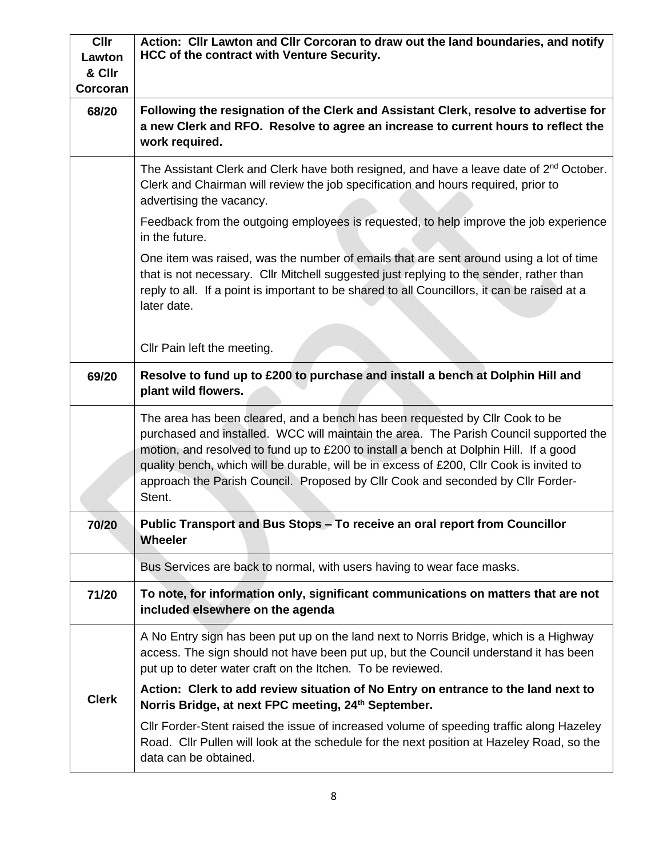| <b>Cllr</b><br>Lawton<br>& Cllr<br>Corcoran | Action: Cllr Lawton and Cllr Corcoran to draw out the land boundaries, and notify<br>HCC of the contract with Venture Security.                                                                                                                                                                                                                                                                                                                         |
|---------------------------------------------|---------------------------------------------------------------------------------------------------------------------------------------------------------------------------------------------------------------------------------------------------------------------------------------------------------------------------------------------------------------------------------------------------------------------------------------------------------|
| 68/20                                       | Following the resignation of the Clerk and Assistant Clerk, resolve to advertise for<br>a new Clerk and RFO. Resolve to agree an increase to current hours to reflect the<br>work required.                                                                                                                                                                                                                                                             |
|                                             | The Assistant Clerk and Clerk have both resigned, and have a leave date of $2nd$ October.<br>Clerk and Chairman will review the job specification and hours required, prior to<br>advertising the vacancy.                                                                                                                                                                                                                                              |
|                                             | Feedback from the outgoing employees is requested, to help improve the job experience<br>in the future.                                                                                                                                                                                                                                                                                                                                                 |
|                                             | One item was raised, was the number of emails that are sent around using a lot of time<br>that is not necessary. Cllr Mitchell suggested just replying to the sender, rather than<br>reply to all. If a point is important to be shared to all Councillors, it can be raised at a<br>later date.                                                                                                                                                        |
|                                             | Cllr Pain left the meeting.                                                                                                                                                                                                                                                                                                                                                                                                                             |
| 69/20                                       | Resolve to fund up to £200 to purchase and install a bench at Dolphin Hill and<br>plant wild flowers.                                                                                                                                                                                                                                                                                                                                                   |
|                                             | The area has been cleared, and a bench has been requested by Cllr Cook to be<br>purchased and installed. WCC will maintain the area. The Parish Council supported the<br>motion, and resolved to fund up to £200 to install a bench at Dolphin Hill. If a good<br>quality bench, which will be durable, will be in excess of £200, Cllr Cook is invited to<br>approach the Parish Council. Proposed by Cllr Cook and seconded by Cllr Forder-<br>Stent. |
| 70/20                                       | Public Transport and Bus Stops - To receive an oral report from Councillor<br><b>Wheeler</b>                                                                                                                                                                                                                                                                                                                                                            |
|                                             | Bus Services are back to normal, with users having to wear face masks.                                                                                                                                                                                                                                                                                                                                                                                  |
| 71/20                                       | To note, for information only, significant communications on matters that are not<br>included elsewhere on the agenda                                                                                                                                                                                                                                                                                                                                   |
|                                             | A No Entry sign has been put up on the land next to Norris Bridge, which is a Highway<br>access. The sign should not have been put up, but the Council understand it has been<br>put up to deter water craft on the Itchen. To be reviewed.                                                                                                                                                                                                             |
| <b>Clerk</b>                                | Action: Clerk to add review situation of No Entry on entrance to the land next to<br>Norris Bridge, at next FPC meeting, 24th September.                                                                                                                                                                                                                                                                                                                |
|                                             | CIIr Forder-Stent raised the issue of increased volume of speeding traffic along Hazeley<br>Road. Cllr Pullen will look at the schedule for the next position at Hazeley Road, so the<br>data can be obtained.                                                                                                                                                                                                                                          |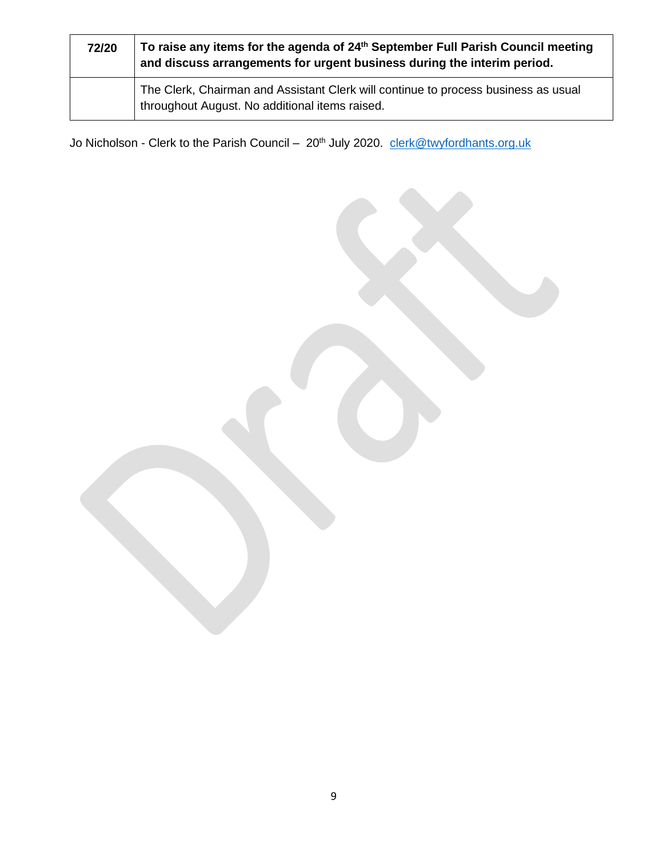| 72/20 | To raise any items for the agenda of 24 <sup>th</sup> September Full Parish Council meeting<br>and discuss arrangements for urgent business during the interim period. |  |  |  |  |
|-------|------------------------------------------------------------------------------------------------------------------------------------------------------------------------|--|--|--|--|
|       | The Clerk, Chairman and Assistant Clerk will continue to process business as usual<br>throughout August. No additional items raised.                                   |  |  |  |  |

Jo Nicholson - Clerk to the Parish Council - 20<sup>th</sup> July 2020. [clerk@twyfordhants.org.uk](mailto:clerk@twyfordhants.org.uk)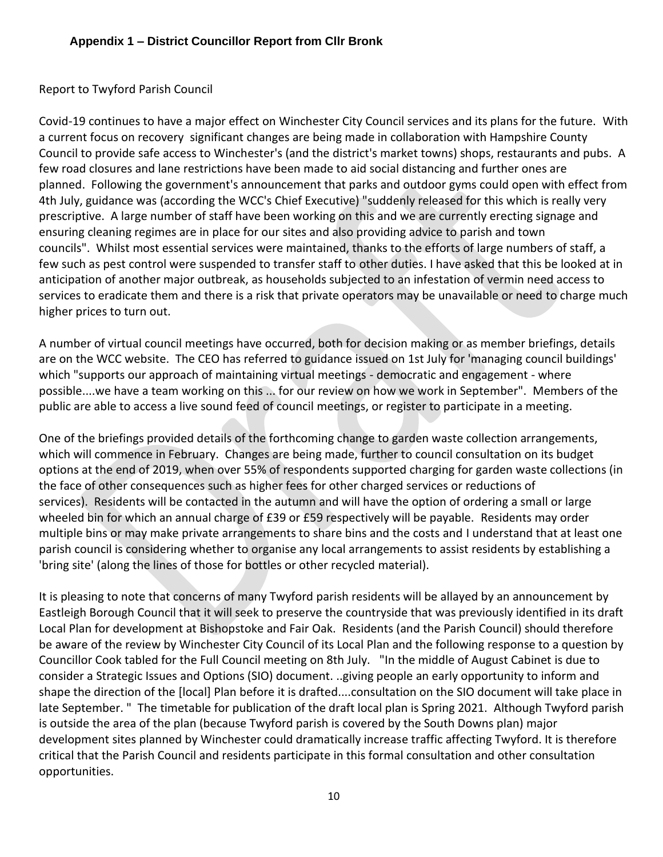#### Report to Twyford Parish Council

Covid-19 continues to have a major effect on Winchester City Council services and its plans for the future. With a current focus on recovery significant changes are being made in collaboration with Hampshire County Council to provide safe access to Winchester's (and the district's market towns) shops, restaurants and pubs. A few road closures and lane restrictions have been made to aid social distancing and further ones are planned. Following the government's announcement that parks and outdoor gyms could open with effect from 4th July, guidance was (according the WCC's Chief Executive) "suddenly released for this which is really very prescriptive. A large number of staff have been working on this and we are currently erecting signage and ensuring cleaning regimes are in place for our sites and also providing advice to parish and town councils". Whilst most essential services were maintained, thanks to the efforts of large numbers of staff, a few such as pest control were suspended to transfer staff to other duties. I have asked that this be looked at in anticipation of another major outbreak, as households subjected to an infestation of vermin need access to services to eradicate them and there is a risk that private operators may be unavailable or need to charge much higher prices to turn out.

A number of virtual council meetings have occurred, both for decision making or as member briefings, details are on the WCC website. The CEO has referred to guidance issued on 1st July for 'managing council buildings' which "supports our approach of maintaining virtual meetings - democratic and engagement - where possible....we have a team working on this ... for our review on how we work in September". Members of the public are able to access a live sound feed of council meetings, or register to participate in a meeting.

One of the briefings provided details of the forthcoming change to garden waste collection arrangements, which will commence in February. Changes are being made, further to council consultation on its budget options at the end of 2019, when over 55% of respondents supported charging for garden waste collections (in the face of other consequences such as higher fees for other charged services or reductions of services). Residents will be contacted in the autumn and will have the option of ordering a small or large wheeled bin for which an annual charge of £39 or £59 respectively will be payable. Residents may order multiple bins or may make private arrangements to share bins and the costs and I understand that at least one parish council is considering whether to organise any local arrangements to assist residents by establishing a 'bring site' (along the lines of those for bottles or other recycled material).

It is pleasing to note that concerns of many Twyford parish residents will be allayed by an announcement by Eastleigh Borough Council that it will seek to preserve the countryside that was previously identified in its draft Local Plan for development at Bishopstoke and Fair Oak. Residents (and the Parish Council) should therefore be aware of the review by Winchester City Council of its Local Plan and the following response to a question by Councillor Cook tabled for the Full Council meeting on 8th July. "In the middle of August Cabinet is due to consider a Strategic Issues and Options (SIO) document. ..giving people an early opportunity to inform and shape the direction of the [local] Plan before it is drafted....consultation on the SIO document will take place in late September. " The timetable for publication of the draft local plan is Spring 2021. Although Twyford parish is outside the area of the plan (because Twyford parish is covered by the South Downs plan) major development sites planned by Winchester could dramatically increase traffic affecting Twyford. It is therefore critical that the Parish Council and residents participate in this formal consultation and other consultation opportunities.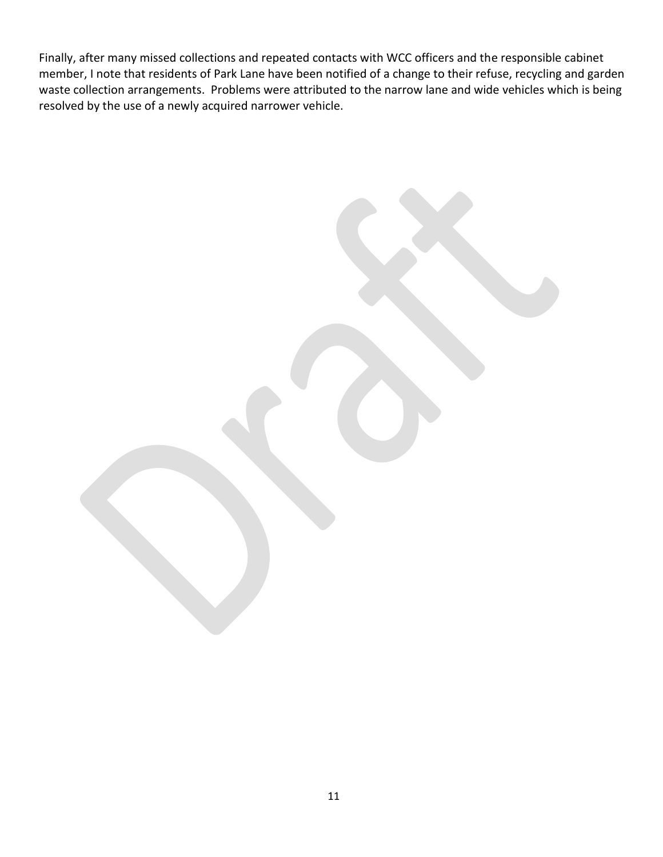Finally, after many missed collections and repeated contacts with WCC officers and the responsible cabinet member, I note that residents of Park Lane have been notified of a change to their refuse, recycling and garden waste collection arrangements. Problems were attributed to the narrow lane and wide vehicles which is being resolved by the use of a newly acquired narrower vehicle.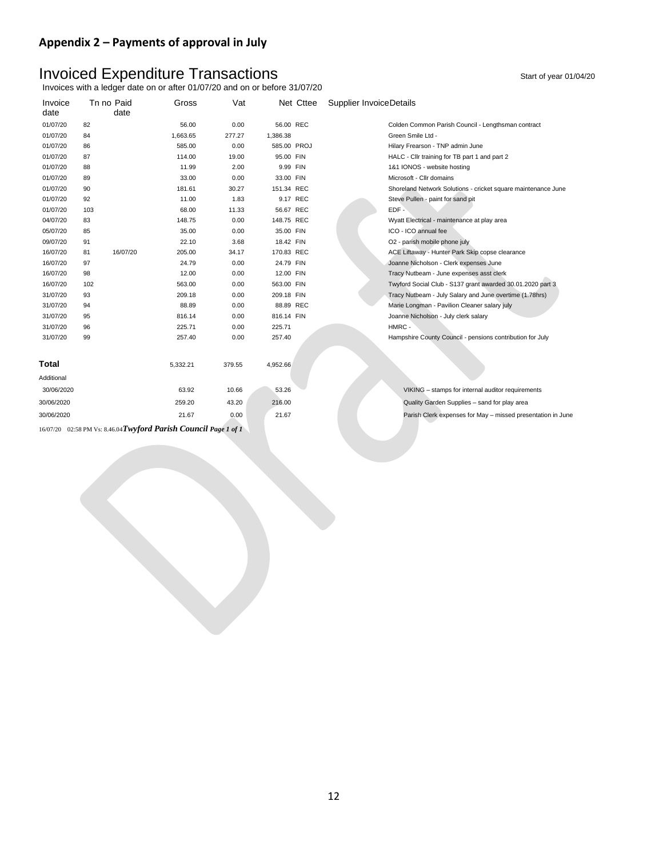#### **Appendix 2 – Payments of approval in July**

# Invoiced Expenditure Transactions and the start of year 01/04/20

Invoices with a ledger date on or after 01/07/20 and on or before 31/07/20

| Invoice      |     | Tn no Paid | Gross                                                            | Vat    |             | Net Cttee | <b>Supplier InvoiceDetails</b>                                |
|--------------|-----|------------|------------------------------------------------------------------|--------|-------------|-----------|---------------------------------------------------------------|
| date         |     | date       |                                                                  |        |             |           |                                                               |
| 01/07/20     | 82  |            | 56.00                                                            | 0.00   | 56.00 REC   |           | Colden Common Parish Council - Lengthsman contract            |
| 01/07/20     | 84  |            | 1,663.65                                                         | 277.27 | 1,386.38    |           | Green Smile Ltd -                                             |
| 01/07/20     | 86  |            | 585.00                                                           | 0.00   | 585.00 PROJ |           | Hilary Frearson - TNP admin June                              |
| 01/07/20     | 87  |            | 114.00                                                           | 19.00  | 95.00 FIN   |           | HALC - Cllr training for TB part 1 and part 2                 |
| 01/07/20     | 88  |            | 11.99                                                            | 2.00   | 9.99 FIN    |           | 1&1 IONOS - website hosting                                   |
| 01/07/20     | 89  |            | 33.00                                                            | 0.00   | 33.00 FIN   |           | Microsoft - Cllr domains                                      |
| 01/07/20     | 90  |            | 181.61                                                           | 30.27  | 151.34 REC  |           | Shoreland Network Solutions - cricket square maintenance June |
| 01/07/20     | 92  |            | 11.00                                                            | 1.83   | 9.17 REC    |           | Steve Pullen - paint for sand pit                             |
| 01/07/20     | 103 |            | 68.00                                                            | 11.33  | 56.67 REC   |           | $EDF -$                                                       |
| 04/07/20     | 83  |            | 148.75                                                           | 0.00   | 148.75 REC  |           | Wyatt Electrical - maintenance at play area                   |
| 05/07/20     | 85  |            | 35.00                                                            | 0.00   | 35.00 FIN   |           | ICO - ICO annual fee                                          |
| 09/07/20     | 91  |            | 22.10                                                            | 3.68   | 18.42 FIN   |           | O2 - parish mobile phone july                                 |
| 16/07/20     | 81  | 16/07/20   | 205.00                                                           | 34.17  | 170.83 REC  |           | ACE Liftaway - Hunter Park Skip copse clearance               |
| 16/07/20     | 97  |            | 24.79                                                            | 0.00   | 24.79 FIN   |           | Joanne Nicholson - Clerk expenses June                        |
| 16/07/20     | 98  |            | 12.00                                                            | 0.00   | 12.00 FIN   |           | Tracy Nutbeam - June expenses asst clerk                      |
| 16/07/20     | 102 |            | 563.00                                                           | 0.00   | 563.00 FIN  |           | Twyford Social Club - S137 grant awarded 30.01.2020 part 3    |
| 31/07/20     | 93  |            | 209.18                                                           | 0.00   | 209.18 FIN  |           | Tracy Nutbeam - July Salary and June overtime (1.78hrs)       |
| 31/07/20     | 94  |            | 88.89                                                            | 0.00   | 88.89 REC   |           | Marie Longman - Pavilion Cleaner salary july                  |
| 31/07/20     | 95  |            | 816.14                                                           | 0.00   | 816.14 FIN  |           | Joanne Nicholson - July clerk salary                          |
| 31/07/20     | 96  |            | 225.71                                                           | 0.00   | 225.71      |           | HMRC -                                                        |
| 31/07/20     | 99  |            | 257.40                                                           | 0.00   | 257.40      |           | Hampshire County Council - pensions contribution for July     |
|              |     |            |                                                                  |        |             |           |                                                               |
|              |     |            |                                                                  |        |             |           |                                                               |
| <b>Total</b> |     |            | 5,332.21                                                         | 379.55 | 4,952.66    |           |                                                               |
| Additional   |     |            |                                                                  |        |             |           |                                                               |
| 30/06/2020   |     |            | 63.92                                                            | 10.66  | 53.26       |           | VIKING - stamps for internal auditor requirements             |
| 30/06/2020   |     |            | 259.20                                                           | 43.20  | 216.00      |           | Quality Garden Supplies - sand for play area                  |
| 30/06/2020   |     |            | 21.67                                                            | 0.00   | 21.67       |           | Parish Clerk expenses for May - missed presentation in June   |
|              |     |            | 16/07/20 02:58 PM Vs: 8.46.04 Twyford Parish Council Page 1 of 1 |        |             |           |                                                               |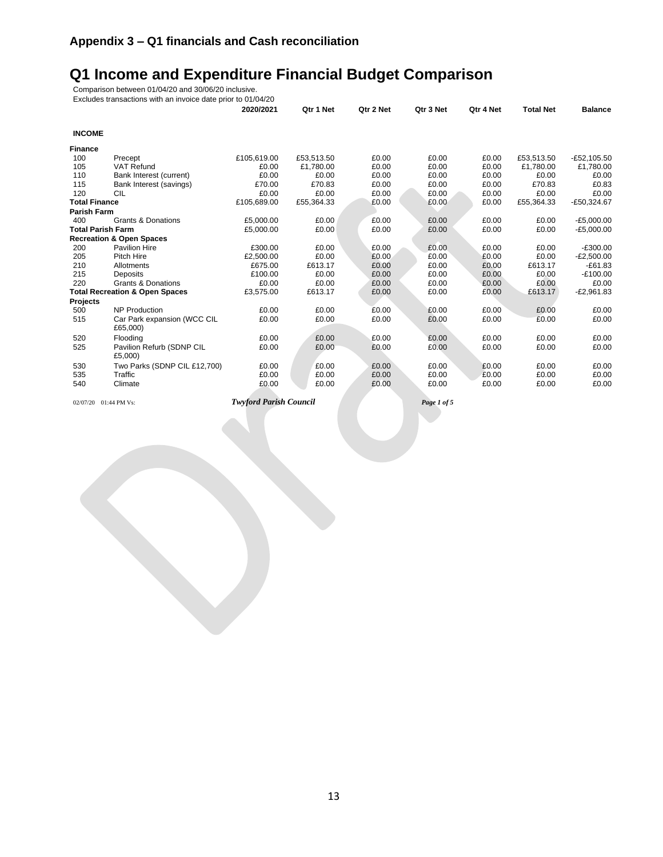# **Q1 Income and Expenditure Financial Budget Comparison**

Comparison between 01/04/20 and 30/06/20 inclusive.

|                          | Excludes transactions with an invoice date prior to 01/04/20 |             |            |           |           |           |                  |                |
|--------------------------|--------------------------------------------------------------|-------------|------------|-----------|-----------|-----------|------------------|----------------|
|                          |                                                              | 2020/2021   | Qtr 1 Net  | Qtr 2 Net | Qtr 3 Net | Qtr 4 Net | <b>Total Net</b> | <b>Balance</b> |
| <b>INCOME</b>            |                                                              |             |            |           |           |           |                  |                |
| Finance                  |                                                              |             |            |           |           |           |                  |                |
| 100                      | Precept                                                      | £105,619.00 | £53,513.50 | £0.00     | £0.00     | £0.00     | £53,513.50       | $-E52,105.50$  |
| 105                      | <b>VAT Refund</b>                                            | £0.00       | £1,780.00  | £0.00     | £0.00     | £0.00     | £1,780.00        | £1,780.00      |
| 110                      | Bank Interest (current)                                      | £0.00       | £0.00      | £0.00     | £0.00     | £0.00     | £0.00            | £0.00          |
| 115                      | Bank Interest (savings)                                      | £70.00      | £70.83     | £0.00     | £0.00     | £0.00     | £70.83           | £0.83          |
| 120                      | CIL                                                          | £0.00       | £0.00      | £0.00     | £0.00     | £0.00     | £0.00            | £0.00          |
| <b>Total Finance</b>     |                                                              | £105,689.00 | £55,364.33 | £0.00     | £0.00     | £0.00     | £55,364.33       | $-£50,324.67$  |
| <b>Parish Farm</b>       |                                                              |             |            |           |           |           |                  |                |
| 400                      | <b>Grants &amp; Donations</b>                                | £5.000.00   | £0.00      | £0.00     | £0.00     | £0.00     | £0.00            | $-E5,000.00$   |
| <b>Total Parish Farm</b> |                                                              | £5,000.00   | £0.00      | £0.00     | £0.00     | £0.00     | £0.00            | $-E5,000.00$   |
|                          | <b>Recreation &amp; Open Spaces</b>                          |             |            |           |           |           |                  |                |
| 200                      | <b>Pavilion Hire</b>                                         | £300.00     | £0.00      | £0.00     | £0.00     | £0.00     | £0.00            | $-£300.00$     |
| 205                      | Pitch Hire                                                   | £2,500.00   | £0.00      | £0.00     | £0.00     | £0.00     | £0.00            | $-E2,500.00$   |
| 210                      | Allotments                                                   | £675.00     | £613.17    | £0.00     | £0.00     | £0.00     | £613.17          | $-E61.83$      |
| 215                      | <b>Deposits</b>                                              | £100.00     | £0.00      | £0.00     | £0.00     | £0.00     | £0.00            | $-£100.00$     |
| 220                      | <b>Grants &amp; Donations</b>                                | £0.00       | £0.00      | £0.00     | £0.00     | £0.00     | £0.00            | £0.00          |
|                          | <b>Total Recreation &amp; Open Spaces</b>                    | £3,575.00   | £613.17    | £0.00     | £0.00     | £0.00     | £613.17          | $-E2,961.83$   |
| Projects                 |                                                              |             |            |           |           |           |                  |                |
| 500                      | <b>NP Production</b>                                         | £0.00       | £0.00      | £0.00     | £0.00     | £0.00     | £0.00            | £0.00          |
| 515                      | Car Park expansion (WCC CIL<br>£65,000)                      | £0.00       | £0.00      | £0.00     | £0.00     | £0.00     | £0.00            | £0.00          |
| 520                      | Flooding                                                     | £0.00       | £0.00      | £0.00     | £0.00     | £0.00     | £0.00            | £0.00          |
| 525                      | Pavilion Refurb (SDNP CIL<br>£5,000)                         | £0.00       | £0.00      | £0.00     | £0.00     | £0.00     | £0.00            | £0.00          |
| 530                      | Two Parks (SDNP CIL £12,700)                                 | £0.00       | £0.00      | £0.00     | £0.00     | £0.00     | £0.00            | £0.00          |
| 535                      | Traffic                                                      | £0.00       | £0.00      | £0.00     | £0.00     | £0.00     | £0.00            | £0.00          |
| 540                      | Climate                                                      | £0.00       | £0.00      | £0.00     | £0.00     | £0.00     | £0.00            | £0.00          |
|                          |                                                              |             |            |           |           |           |                  |                |

02/07/20 01:44 PM Vs: *Twyford Parish Council Page 1 of 5*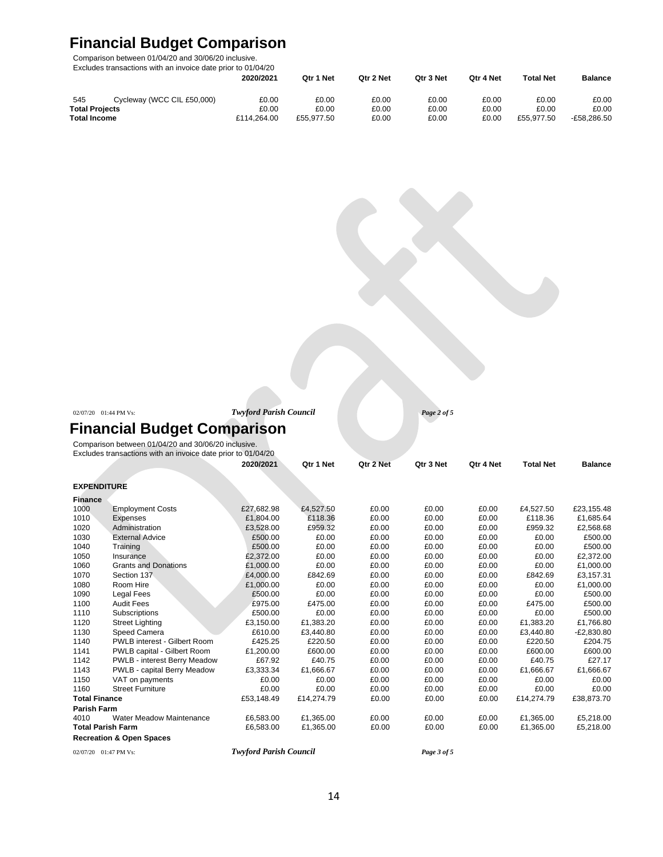# **Financial Budget Comparison**

Comparison between 01/04/20 and 30/06/20 inclusive.

| Excludes transactions with an invoice date prior to 01/04/20 |                            |             |            |           |           |           |                  |                |
|--------------------------------------------------------------|----------------------------|-------------|------------|-----------|-----------|-----------|------------------|----------------|
|                                                              |                            | 2020/2021   | Qtr 1 Net  | Otr 2 Net | Qtr 3 Net | Otr 4 Net | <b>Total Net</b> | <b>Balance</b> |
| 545                                                          | Cycleway (WCC CIL £50,000) | £0.00       | £0.00      | £0.00     | £0.00     | £0.00     | £0.00            | £0.00          |
| <b>Total Projects</b>                                        |                            | £0.00       | £0.00      | £0.00     | £0.00     | £0.00     | £0.00            | £0.00          |
| <b>Total Income</b>                                          |                            | £114.264.00 | £55.977.50 | £0.00     | £0.00     | £0.00     | £55.977.50       | -£58.286.50    |

| $02/07/20$ 01:44 PM Vs: |  |
|-------------------------|--|
|                         |  |

02/07/20 01:44 PM Vs: *Twyford Parish Council Page 2 of 5*

# **Financial Budget Comparison**

Comparison between 01/04/20 and 30/06/20 inclusive. Excludes transactions with an invoice date prior to 01/04/20

|                          |                                     | 2020/2021                     | Qtr 1 Net  | Qtr 2 Net | Qtr 3 Net   | Qtr 4 Net | <b>Total Net</b> | <b>Balance</b> |
|--------------------------|-------------------------------------|-------------------------------|------------|-----------|-------------|-----------|------------------|----------------|
| <b>EXPENDITURE</b>       |                                     |                               |            |           |             |           |                  |                |
| <b>Finance</b>           |                                     |                               |            |           |             |           |                  |                |
| 1000                     | <b>Employment Costs</b>             | £27,682.98                    | £4,527.50  | £0.00     | £0.00       | £0.00     | £4,527.50        | £23,155.48     |
| 1010                     | Expenses                            | £1,804.00                     | £118.36    | £0.00     | £0.00       | £0.00     | £118.36          | £1,685.64      |
| 1020                     | Administration                      | £3,528.00                     | £959.32    | £0.00     | £0.00       | £0.00     | £959.32          | £2,568.68      |
| 1030                     | <b>External Advice</b>              | £500.00                       | £0.00      | £0.00     | £0.00       | £0.00     | £0.00            | £500.00        |
| 1040                     | Training                            | £500.00                       | £0.00      | £0.00     | £0.00       | £0.00     | £0.00            | £500.00        |
| 1050                     | Insurance                           | £2,372.00                     | £0.00      | £0.00     | £0.00       | £0.00     | £0.00            | £2,372.00      |
| 1060                     | <b>Grants and Donations</b>         | £1,000.00                     | £0.00      | £0.00     | £0.00       | £0.00     | £0.00            | £1,000.00      |
| 1070                     | Section 137                         | £4,000.00                     | £842.69    | £0.00     | £0.00       | £0.00     | £842.69          | £3,157.31      |
| 1080                     | Room Hire                           | £1,000.00                     | £0.00      | £0.00     | £0.00       | £0.00     | £0.00            | £1,000.00      |
| 1090                     | Legal Fees                          | £500.00                       | £0.00      | £0.00     | £0.00       | £0.00     | £0.00            | £500.00        |
| 1100                     | <b>Audit Fees</b>                   | £975.00                       | £475.00    | £0.00     | £0.00       | £0.00     | £475.00          | £500.00        |
| 1110                     | Subscriptions                       | £500.00                       | £0.00      | £0.00     | £0.00       | £0.00     | £0.00            | £500.00        |
| 1120                     | <b>Street Lighting</b>              | £3,150.00                     | £1,383.20  | £0.00     | £0.00       | £0.00     | £1,383.20        | £1,766.80      |
| 1130                     | Speed Camera                        | £610.00                       | £3,440.80  | £0.00     | £0.00       | £0.00     | £3.440.80        | $-E2,830.80$   |
| 1140                     | PWLB interest - Gilbert Room        | £425.25                       | £220.50    | £0.00     | £0.00       | £0.00     | £220.50          | £204.75        |
| 1141                     | PWLB capital - Gilbert Room         | £1,200.00                     | £600.00    | £0.00     | £0.00       | £0.00     | £600.00          | £600.00        |
| 1142                     | PWLB - interest Berry Meadow        | £67.92                        | £40.75     | £0.00     | £0.00       | £0.00     | £40.75           | £27.17         |
| 1143                     | PWLB - capital Berry Meadow         | £3,333.34                     | £1,666.67  | £0.00     | £0.00       | £0.00     | £1,666.67        | £1,666.67      |
| 1150                     | VAT on payments                     | £0.00                         | £0.00      | £0.00     | £0.00       | £0.00     | £0.00            | £0.00          |
| 1160                     | <b>Street Furniture</b>             | £0.00                         | £0.00      | £0.00     | £0.00       | £0.00     | £0.00            | £0.00          |
| <b>Total Finance</b>     |                                     | £53,148.49                    | £14,274.79 | £0.00     | £0.00       | £0.00     | £14,274.79       | £38,873.70     |
| <b>Parish Farm</b>       |                                     |                               |            |           |             |           |                  |                |
| 4010                     | <b>Water Meadow Maintenance</b>     | £6,583.00                     | £1,365.00  | £0.00     | £0.00       | £0.00     | £1,365.00        | £5,218.00      |
| <b>Total Parish Farm</b> |                                     | £6,583.00                     | £1,365.00  | £0.00     | £0.00       | £0.00     | £1,365.00        | £5,218.00      |
|                          | <b>Recreation &amp; Open Spaces</b> |                               |            |           |             |           |                  |                |
| 02/07/20 01:47 PM Vs:    |                                     | <b>Twyford Parish Council</b> |            |           | Page 3 of 5 |           |                  |                |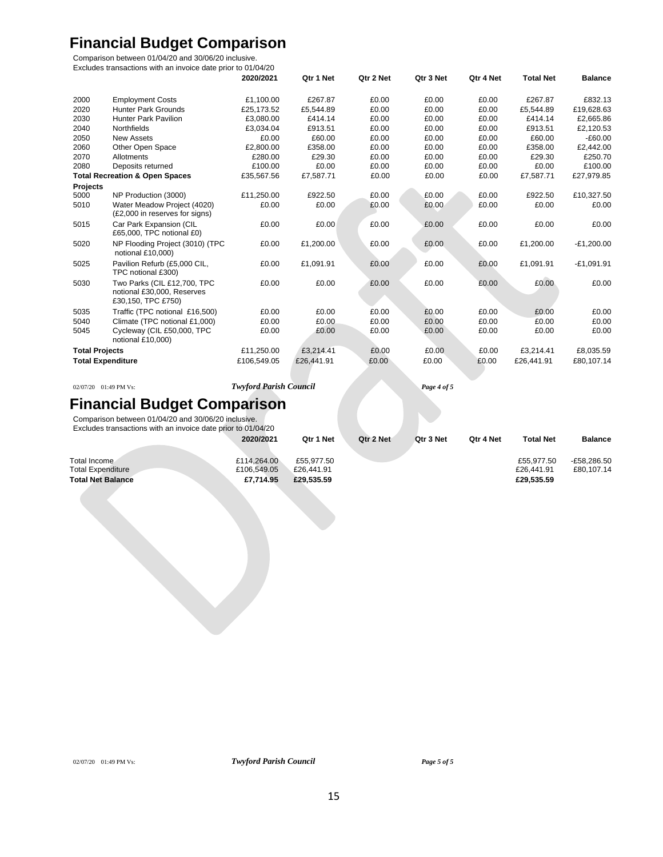# **Financial Budget Comparison**

Comparison between 01/04/20 and 30/06/20 inclusive.

| Excludes transactions with an invoice date prior to 01/04/20 |                                                                                 |             |            |           |           |           |                  |                |
|--------------------------------------------------------------|---------------------------------------------------------------------------------|-------------|------------|-----------|-----------|-----------|------------------|----------------|
|                                                              |                                                                                 | 2020/2021   | Qtr 1 Net  | Qtr 2 Net | Qtr 3 Net | Qtr 4 Net | <b>Total Net</b> | <b>Balance</b> |
| 2000                                                         | <b>Employment Costs</b>                                                         | £1.100.00   | £267.87    | £0.00     | £0.00     | £0.00     | £267.87          | £832.13        |
| 2020                                                         | <b>Hunter Park Grounds</b>                                                      | £25.173.52  | £5,544.89  | £0.00     | £0.00     | £0.00     | £5,544.89        | £19,628.63     |
| 2030                                                         | <b>Hunter Park Pavilion</b>                                                     | £3.080.00   | £414.14    | £0.00     | £0.00     | £0.00     | £414.14          | £2.665.86      |
| 2040                                                         | Northfields                                                                     | £3.034.04   | £913.51    | £0.00     | £0.00     | £0.00     | £913.51          | £2,120.53      |
| 2050                                                         | <b>New Assets</b>                                                               | £0.00       | £60.00     | £0.00     | £0.00     | £0.00     | £60.00           | $-E60.00$      |
| 2060                                                         | Other Open Space                                                                | £2,800.00   | £358.00    | £0.00     | £0.00     | £0.00     | £358.00          | £2,442.00      |
| 2070                                                         | Allotments                                                                      | £280.00     | £29.30     | £0.00     | £0.00     | £0.00     | £29.30           | £250.70        |
| 2080                                                         | Deposits returned                                                               | £100.00     | £0.00      | £0.00     | £0.00     | £0.00     | £0.00            | £100.00        |
|                                                              | <b>Total Recreation &amp; Open Spaces</b>                                       | £35,567.56  | £7,587.71  | £0.00     | £0.00     | £0.00     | £7,587.71        | £27,979.85     |
| Projects                                                     |                                                                                 |             |            |           |           |           |                  |                |
| 5000                                                         | NP Production (3000)                                                            | £11,250.00  | £922.50    | £0.00     | £0.00     | £0.00     | £922.50          | £10,327.50     |
| 5010                                                         | Water Meadow Project (4020)<br>(£2,000 in reserves for signs)                   | £0.00       | £0.00      | £0.00     | £0.00     | £0.00     | £0.00            | £0.00          |
| 5015                                                         | Car Park Expansion (CIL<br>£65,000, TPC notional £0)                            | £0.00       | £0.00      | £0.00     | £0.00     | £0.00     | £0.00            | £0.00          |
| 5020                                                         | NP Flooding Project (3010) (TPC<br>notional £10,000)                            | £0.00       | £1,200.00  | £0.00     | £0.00     | £0.00     | £1,200.00        | $-E1,200.00$   |
| 5025                                                         | Pavilion Refurb (£5,000 CIL,<br>TPC notional £300)                              | £0.00       | £1,091.91  | £0.00     | £0.00     | £0.00     | £1,091.91        | $-E1,091.91$   |
| 5030                                                         | Two Parks (CIL £12,700, TPC<br>notional £30,000, Reserves<br>£30,150, TPC £750) | £0.00       | £0.00      | £0.00     | £0.00     | £0.00     | £0.00            | £0.00          |
| 5035                                                         | Traffic (TPC notional £16,500)                                                  | £0.00       | £0.00      | £0.00     | £0.00     | £0.00     | £0.00            | £0.00          |
| 5040                                                         | Climate (TPC notional £1,000)                                                   | £0.00       | £0.00      | £0.00     | £0.00     | £0.00     | £0.00            | £0.00          |
| 5045                                                         | Cycleway (CIL £50,000, TPC<br>notional £10,000)                                 | £0.00       | £0.00      | £0.00     | £0.00     | £0.00     | £0.00            | £0.00          |
| <b>Total Projects</b>                                        |                                                                                 | £11,250.00  | £3,214.41  | £0.00     | £0.00     | £0.00     | £3,214.41        | £8,035.59      |
|                                                              | <b>Total Expenditure</b>                                                        | £106.549.05 | £26,441.91 | £0.00     | £0.00     | £0.00     | £26.441.91       | £80.107.14     |

02/07/20 01:49 PM Vs: *Twyford Parish Council Page 4 of 5*

# **Financial Budget Comparison**

Comparison between 01/04/20 and 30/06/20 inclusive.

| Excludes transactions with an invoice date prior to 01/04/20 |             |            |           |           |           |                  |                |
|--------------------------------------------------------------|-------------|------------|-----------|-----------|-----------|------------------|----------------|
|                                                              | 2020/2021   | Qtr 1 Net  | Otr 2 Net | Qtr 3 Net | Qtr 4 Net | <b>Total Net</b> | <b>Balance</b> |
|                                                              |             |            |           |           |           |                  |                |
| Total Income                                                 | £114.264.00 | £55.977.50 |           |           |           | £55.977.50       | -£58.286.50    |
| <b>Total Expenditure</b>                                     | £106,549.05 | £26,441.91 |           |           |           | £26,441.91       | £80.107.14     |
| <b>Total Net Balance</b>                                     | £7.714.95   | £29,535,59 |           |           |           | £29.535.59       |                |

02/07/20 01:49 PM Vs: *Twyford Parish Council Page 5 of 5*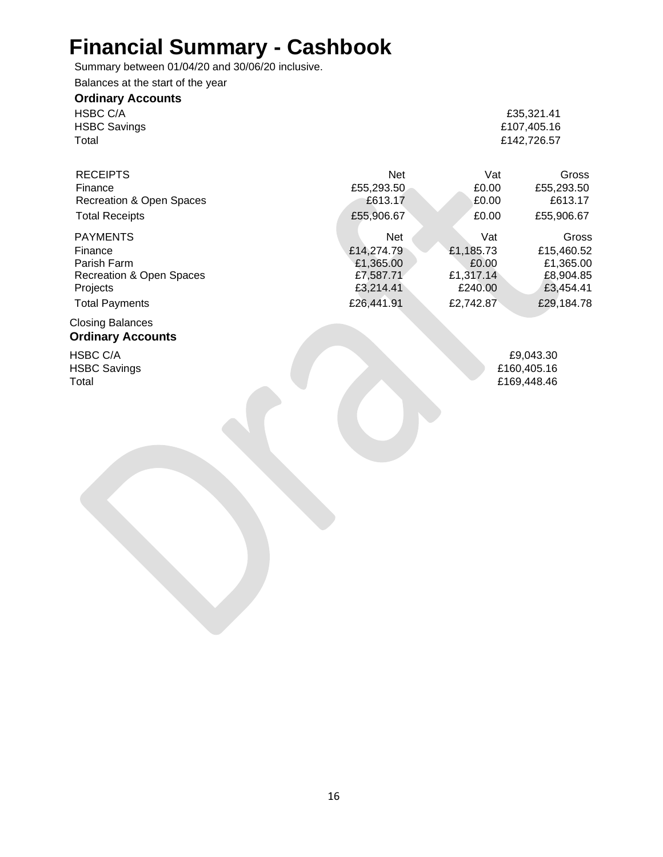# **Financial Summary - Cashbook**

Summary between 01/04/20 and 30/06/20 inclusive.

Balances at the start of the year

| <b>Ordinary Accounts</b> |             |
|--------------------------|-------------|
| HSBC C/A                 | £35.321.41  |
| <b>HSBC Savings</b>      | £107.405.16 |
| Total                    | £142,726.57 |

| <b>RECEIPTS</b><br>Finance<br>Recreation & Open Spaces<br><b>Total Receipts</b> | <b>Net</b><br>£55,293.50<br>£613.17<br>£55,906.67 | Vat<br>£0.00<br>£0.00<br>£0.00 | Gross<br>£55,293.50<br>£613.17<br>£55,906.67 |
|---------------------------------------------------------------------------------|---------------------------------------------------|--------------------------------|----------------------------------------------|
| <b>PAYMENTS</b>                                                                 | <b>Net</b>                                        | Vat                            | Gross                                        |
| Finance                                                                         | £14,274.79                                        | £1,185.73                      | £15,460.52                                   |
| Parish Farm                                                                     | £1,365.00                                         | £0.00                          | £1,365.00                                    |
| Recreation & Open Spaces                                                        | £7,587.71                                         | £1,317.14                      | £8,904.85                                    |
| Projects                                                                        | £3,214.41                                         | £240.00                        | £3,454.41                                    |
| <b>Total Payments</b>                                                           | £26,441.91                                        | £2,742.87                      | £29,184.78                                   |

# Closing Balances

# **Ordinary Accounts**

HSBC C/A  $£9,043.30$ HSBC Savings **E160,405.16**<br>Total **E169,448.46** 

£169,448.46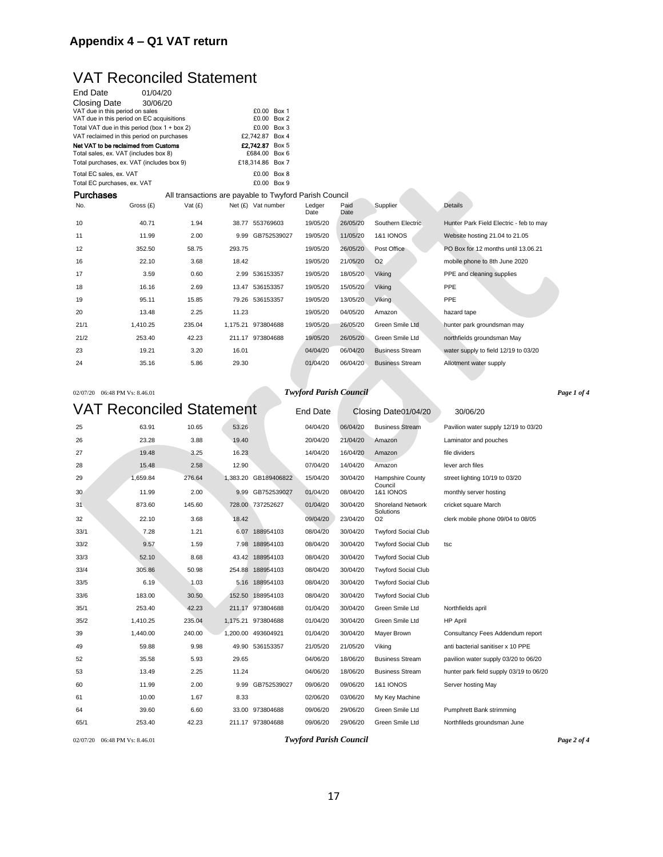#### **Appendix 4 – Q1 VAT return**

### VAT Reconciled Statement

| <b>End Date</b>             | 01/04/20                                     |                                                        |        |                      |                |              |                        |                                         |
|-----------------------------|----------------------------------------------|--------------------------------------------------------|--------|----------------------|----------------|--------------|------------------------|-----------------------------------------|
| <b>Closing Date</b>         | 30/06/20                                     |                                                        |        |                      |                |              |                        |                                         |
|                             | VAT due in this period on sales              |                                                        |        | £0.00 Box 1          |                |              |                        |                                         |
|                             | VAT due in this period on EC acquisitions    |                                                        |        | £0.00 Box 2          |                |              |                        |                                         |
|                             | Total VAT due in this period (box 1 + box 2) |                                                        |        | £0.00 Box 3          |                |              |                        |                                         |
|                             | VAT reclaimed in this period on purchases    |                                                        |        | £2,742.87 Box 4      |                |              |                        |                                         |
|                             | Net VAT to be reclaimed from Customs         |                                                        |        | £2.742.87 Box 5      |                |              |                        |                                         |
|                             | Total sales, ex. VAT (includes box 8)        |                                                        |        | £684.00 Box 6        |                |              |                        |                                         |
|                             | Total purchases, ex. VAT (includes box 9)    |                                                        |        | £18,314.86 Box 7     |                |              |                        |                                         |
| Total EC sales, ex. VAT     |                                              |                                                        |        | £0.00 Box 8          |                |              |                        |                                         |
| Total EC purchases, ex. VAT |                                              |                                                        |        | £0.00 Box 9          |                |              |                        |                                         |
| Purchases                   |                                              | All transactions are payable to Twyford Parish Council |        |                      |                |              |                        |                                         |
| No.                         | Gross (£)                                    | Vat $(f)$                                              |        | Net $(E)$ Vat number | Ledger<br>Date | Paid<br>Date | Supplier               | <b>Details</b>                          |
| 10                          | 40.71                                        | 1.94                                                   |        | 38.77 553769603      | 19/05/20       | 26/05/20     | Southern Electric      | Hunter Park Field Electric - feb to may |
| 11                          | 11.99                                        | 2.00                                                   |        | 9.99 GB752539027     | 19/05/20       | 11/05/20     | <b>1&amp;1 IONOS</b>   | Website hosting 21.04 to 21.05          |
| 12                          | 352.50                                       | 58.75                                                  | 293.75 |                      | 19/05/20       | 26/05/20     | Post Office            | PO Box for 12 months until 13.06.21     |
| 16                          | 22.10                                        | 3.68                                                   | 18.42  |                      | 19/05/20       | 21/05/20     | O <sub>2</sub>         | mobile phone to 8th June 2020           |
| 17                          | 3.59                                         | 0.60                                                   |        | 2.99 536153357       | 19/05/20       | 18/05/20     | Viking                 | PPE and cleaning supplies               |
| 18                          | 16.16                                        | 2.69                                                   |        | 13.47 536153357      | 19/05/20       | 15/05/20     | Viking                 | PPE                                     |
| 19                          | 95.11                                        | 15.85                                                  |        | 79.26 536153357      | 19/05/20       | 13/05/20     | <b>Viking</b>          | PPE                                     |
| 20                          | 13.48                                        | 2.25                                                   | 11.23  |                      | 19/05/20       | 04/05/20     | Amazon                 | hazard tape                             |
| 21/1                        | 1,410.25                                     | 235.04                                                 |        | 1,175.21 973804688   | 19/05/20       | 26/05/20     | Green Smile Ltd        | hunter park groundsman may              |
| 21/2                        | 253.40                                       | 42.23                                                  |        | 211.17 973804688     | 19/05/20       | 26/05/20     | Green Smile Ltd        | northfields groundsman May              |
| 23                          | 19.21                                        | 3.20                                                   | 16.01  |                      | 04/04/20       | 06/04/20     | <b>Business Stream</b> | water supply to field 12/19 to 03/20    |
| 24                          | 35.16                                        | 5.86                                                   | 29.30  |                      | 01/04/20       | 06/04/20     | <b>Business Stream</b> | Allotment water supply                  |

#### 02/07/20 06:48 PM Vs: 8.46.01 *Twyford Parish Council Page 1 of 4*

VAT Reconciled Statement End Date Closing Date01/04/20 30/06/20 25 63.91 10.65 53.26 04/04/20 06/04/20 Business Stream Pavilion water supply 12/19 to 03/20 26 23.28 3.88 19.40 20/04/20 21/04/20 Amazon Laminator and pouches 27 19.48 3.25 16.23 14/04/20 16/04/20 Amazon file dividers 28 15.48 2.58 12.90 07/04/20 14/04/20 Amazon lever arch files 29 1,659.84 276.64 1,383.20 GB189406822 15/04/20 30/04/20 Hampshire County street lighting 10/19 to 03/20 Council<br>1&1 IONOS 30 11.99 2.00 9.99 GB752539027 01/04/20 08/04/20 1&1 IONOS monthly server hosting 31 873.60 145.60 728.00 737252627 01/04/20 30/04/20 Shoreland Network cricket square March Solutions<br>O2 32 22.10 3.68 18.42 09/04/20 23/04/20 O2 clerk mobile phone 09/04 to 08/05 33/1 7.28 1.21 6.07 188954103 08/04/20 30/04/20 Twyford Social Club 33/2 9.57 1.59 7.98 188954103 08/04/20 30/04/20 Twyford Social Club tsc 33/3 52.10 8.68 43.42 188954103 08/04/20 30/04/20 Twyford Social Club 33/4 305.86 50.98 254.88 188954103 08/04/20 30/04/20 Twyford Social Club 33/5 6.19 1.03 5.16 188954103 08/04/20 30/04/20 Twyford Social Club 33/6 183.00 30.50 152.50 188954103 08/04/20 30/04/20 Twyford Social Club 35/1 253.40 42.23 211.17 973804688 01/04/20 30/04/20 Green Smile Ltd Northfields april 35/2 1,410.25 235.04 1,175.21 973804688 01/04/20 30/04/20 Green Smile Ltd HP April 39 1,440.00 240.00 1,200.00 493604921 01/04/20 30/04/20 Mayer Brown Consultancy Fees Addendum report 49 59.88 9.98 49.90 536153357 21/05/20 21/05/20 Viking anti bacterial sanitiser x 10 PPE 52 35.58 5.93 29.65 04/06/20 18/06/20 Business Stream pavilion water supply 03/20 to 06/20 53 13.49 2.25 11.24 04/06/20 18/06/20 Business Stream hunter park field supply 03/19 to 06/20 60 11.99 2.00 9.99 GB752539027 09/06/20 09/06/20 1&1 IONOS Server hosting May 61 10.00 1.67 8.33 02/06/20 03/06/20 My Key Machine 64 39.60 6.60 33.00 973804688 09/06/20 29/06/20 Green Smile Ltd Pumphrett Bank strimming 65/1 253.40 42.23 211.17 973804688 09/06/20 29/06/20 Green Smile Ltd Northfileds groundsman June

02/07/20 06:48 PM Vs: 8.46.01 *Twyford Parish Council Page 2 of 4*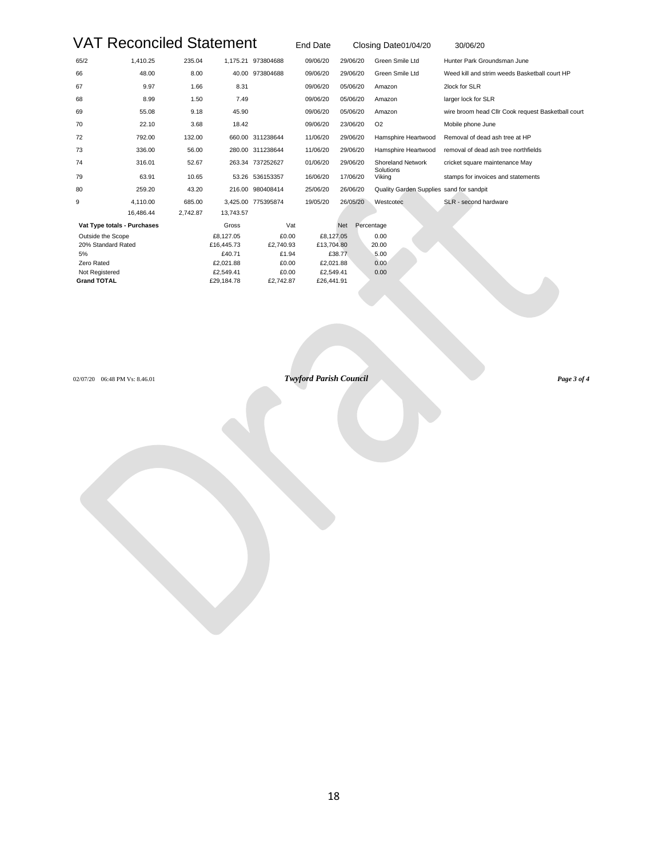# VAT Reconciled Statement End Date Closing Date01/04/20

| 30/06/20 |
|----------|
|          |

| 65/2               | 1,410.25                    | 235.04   |            | 1,175.21 973804688 | 09/06/20   | 29/06/20   | Green Smile Ltd                          | Hunter Park Groundsman June                        |
|--------------------|-----------------------------|----------|------------|--------------------|------------|------------|------------------------------------------|----------------------------------------------------|
| 66                 | 48.00                       | 8.00     |            | 40.00 973804688    | 09/06/20   | 29/06/20   | Green Smile Ltd                          | Weed kill and strim weeds Basketball court HP      |
| 67                 | 9.97                        | 1.66     | 8.31       |                    | 09/06/20   | 05/06/20   | Amazon                                   | 2lock for SLR                                      |
| 68                 | 8.99                        | 1.50     | 7.49       |                    | 09/06/20   | 05/06/20   | Amazon                                   | larger lock for SLR                                |
| 69                 | 55.08                       | 9.18     | 45.90      |                    | 09/06/20   | 05/06/20   | Amazon                                   | wire broom head Cllr Cook request Basketball court |
| 70                 | 22.10                       | 3.68     | 18.42      |                    | 09/06/20   | 23/06/20   | O <sub>2</sub>                           | Mobile phone June                                  |
| 72                 | 792.00                      | 132.00   |            | 660.00 311238644   | 11/06/20   | 29/06/20   | Hamsphire Heartwood                      | Removal of dead ash tree at HP                     |
| 73                 | 336.00                      | 56.00    |            | 280.00 311238644   | 11/06/20   | 29/06/20   | Hamsphire Heartwood                      | removal of dead ash tree northfields               |
| 74                 | 316.01                      | 52.67    |            | 263.34 737252627   | 01/06/20   | 29/06/20   | <b>Shoreland Network</b>                 | cricket square maintenance May                     |
| 79                 | 63.91                       | 10.65    |            | 53.26 536153357    | 16/06/20   | 17/06/20   | Solutions<br>Viking                      | stamps for invoices and statements                 |
| 80                 | 259.20                      | 43.20    |            | 216.00 980408414   | 25/06/20   | 26/06/20   | Quality Garden Supplies sand for sandpit |                                                    |
| 9                  | 4,110.00                    | 685.00   |            | 3,425.00 775395874 | 19/05/20   | 26/05/20   | Westcotec                                | SLR - second hardware                              |
|                    | 16.486.44                   | 2.742.87 | 13,743.57  |                    |            |            |                                          |                                                    |
|                    | Vat Type totals - Purchases |          | Gross      | Vat                |            | <b>Net</b> | Percentage                               |                                                    |
| Outside the Scope  |                             |          | £8,127.05  | £0.00              | £8,127.05  |            | 0.00                                     |                                                    |
|                    | 20% Standard Rated          |          | £16,445.73 | £2,740.93          | £13.704.80 |            | 20.00                                    |                                                    |
| 5%                 |                             |          | £40.71     | £1.94              |            | £38.77     | 5.00                                     |                                                    |
| Zero Rated         |                             |          | £2.021.88  | £0.00              | £2,021.88  |            | 0.00                                     |                                                    |
| Not Registered     |                             |          | £2,549.41  | £0.00              | £2,549.41  |            | 0.00                                     |                                                    |
| <b>Grand TOTAL</b> |                             |          | £29,184.78 | £2,742.87          | £26,441.91 |            |                                          |                                                    |

02/07/20 06:48 PM Vs: 8.46.01 *Twyford Parish Council Page 3 of 4*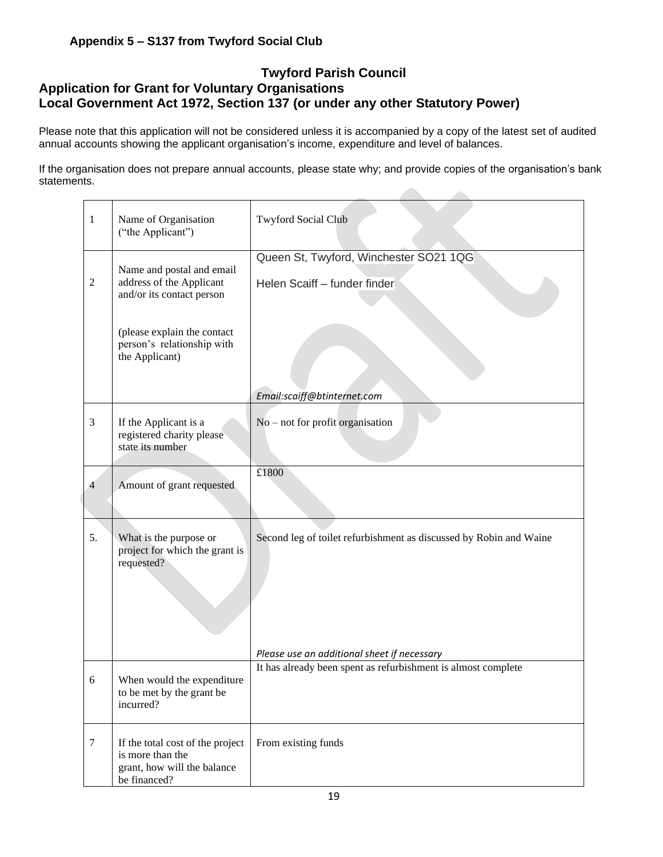#### **Appendix 5 – S137 from Twyford Social Club**

#### **Twyford Parish Council Application for Grant for Voluntary Organisations Local Government Act 1972, Section 137 (or under any other Statutory Power)**

Please note that this application will not be considered unless it is accompanied by a copy of the latest set of audited annual accounts showing the applicant organisation's income, expenditure and level of balances.

If the organisation does not prepare annual accounts, please state why; and provide copies of the organisation's bank statements. 

| 1              | Name of Organisation<br>("the Applicant")                                                                                                                         | <b>Twyford Social Club</b>                                                                                   |
|----------------|-------------------------------------------------------------------------------------------------------------------------------------------------------------------|--------------------------------------------------------------------------------------------------------------|
| $\mathfrak{2}$ | Name and postal and email<br>address of the Applicant<br>and/or its contact person<br>(please explain the contact<br>person's relationship with<br>the Applicant) | Queen St, Twyford, Winchester SO21 1QG<br>Helen Scaiff - funder finder                                       |
|                |                                                                                                                                                                   | Email:scaiff@btinternet.com                                                                                  |
| 3              | If the Applicant is a<br>registered charity please<br>state its number                                                                                            | $No$ – not for profit organisation                                                                           |
| $\overline{4}$ | Amount of grant requested                                                                                                                                         | £1800                                                                                                        |
| 5.             | What is the purpose or<br>project for which the grant is<br>requested?                                                                                            | Second leg of toilet refurbishment as discussed by Robin and Waine                                           |
|                |                                                                                                                                                                   | Please use an additional sheet if necessary<br>It has already been spent as refurbishment is almost complete |
| 6              | When would the expenditure<br>to be met by the grant be<br>incurred?                                                                                              |                                                                                                              |
| $\tau$         | If the total cost of the project<br>is more than the<br>grant, how will the balance<br>be financed?                                                               | From existing funds                                                                                          |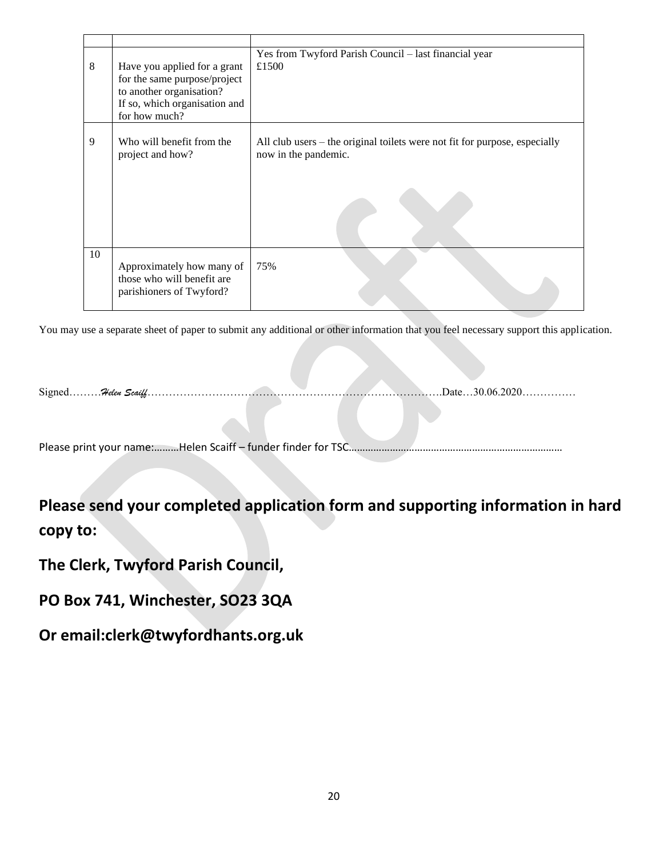| 8  | Have you applied for a grant<br>for the same purpose/project<br>to another organisation?<br>If so, which organisation and<br>for how much? | Yes from Twyford Parish Council - last financial year<br>£1500                                     |
|----|--------------------------------------------------------------------------------------------------------------------------------------------|----------------------------------------------------------------------------------------------------|
| 9  | Who will benefit from the<br>project and how?                                                                                              | All club users – the original toilets were not fit for purpose, especially<br>now in the pandemic. |
| 10 | Approximately how many of<br>those who will benefit are<br>parishioners of Twyford?                                                        | 75%                                                                                                |

You may use a separate sheet of paper to submit any additional or other information that you feel necessary support this application.

Signed………*Helen Scaiff*……………………………………………………………………….Date…30.06.2020……………

Please print your name:………Helen Scaiff – funder finder for TSC……………………………………………………………………

**Please send your completed application form and supporting information in hard copy to:**

**The Clerk, Twyford Parish Council,**

**PO Box 741, Winchester, SO23 3QA**

**Or email:clerk@twyfordhants.org.uk**